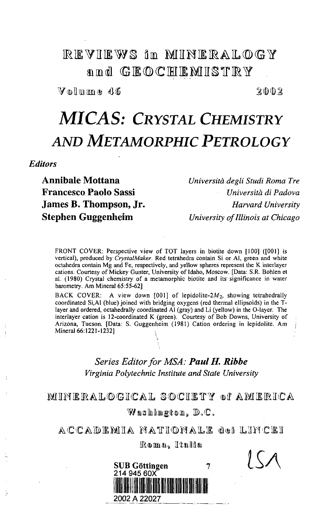# **REVIEWS** in MHNERALOGY and GEOCHEMISTRY

 $V_0$ lmme 46

 $2002$ 

# *MICAS: CRYSTAL CHEMISTRY AND METAMORPHIC PETROLOGY*

*Editors*

**Annibale Mottana** *Universita degli Studi Roma Tre* **Francesco Paolo Sassi** *Universita di Padova* **James B. Thompson, Jr.** *Harvard University* **Stephen Guggenheim** *University of Illinois at Chicago*

FRONT COVER: Perspective view of TOT layers in biotite down [100] ([001] is vertical), produced by *CrystalMaker.* Red tetrahedra contain Si or Al, green and white octahedra contain Mg and Fe, respectively, and yellow spheres represent the K interlayer cations. Courtesy of Mickey Gunter, University of Idaho, Moscow. [Data: S.R. Bohlen et al. (1980) Crystal chemistry of a metamorphic biotite and its significance in water barometry. Am Mineral 65:55-62]

BACK COVER: A view down [001] of lepidolite- $2M_2$ , showing tetrahedrally coordinated Si,Al (blue) joined with bridging oxygens (red thermal ellipsoids) in the Tlayer and ordered, octahedrally coordinated Al (gray) and Li (yellow) in the O-layer. The interlayer cation is 12-coordinated K (green). Courtesy of Bob Downs, University of Arizona, Tucson. [Data: S. Guggenheim (1981) Cation ordering in lepidolite. Am Mineral 66:1221-1232]

#### *Series Editor for MSA: Paul H. Ribbe Virginia Polytechnic Institute and State University*

#### MUNERALOGICAL SOCIETY of AMERICA

Washington,  $\mathbb{D}$ .C.

ACCADEMIA NATIONALE dei LINCEI Roma, Italia

### **SUB** Gottingen  $\overline{7}$ **214 945 60X** 2002 A 22027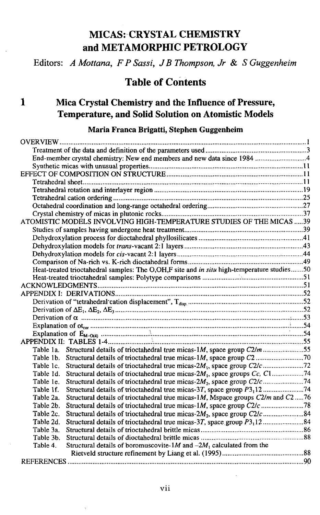# MICAS: CRYSTAL CHEMISTRY and METAMORPHIC PETROLOGY

Editors: *A Mottana, FPSassi, JB Thompson, Jr* & *S Guggenheim*

# Table of Contents

# **1 Mica Crystal Chemistry and the Influence of Pressure, Temperature, and Solid Solution on Atomistic Models**

#### **Maria Franca Brigatti, Stephen Guggenheim**

| End-member crystal chemistry: New end members and new data since 1984 4                             |  |
|-----------------------------------------------------------------------------------------------------|--|
|                                                                                                     |  |
|                                                                                                     |  |
|                                                                                                     |  |
|                                                                                                     |  |
|                                                                                                     |  |
|                                                                                                     |  |
|                                                                                                     |  |
| ATOMISTIC MODELS INVOLVING HIGH-TEMPERATURE STUDIES OF THE MICAS  39                                |  |
|                                                                                                     |  |
|                                                                                                     |  |
|                                                                                                     |  |
|                                                                                                     |  |
|                                                                                                     |  |
| Heat-treated trioctahedral samples: The O,OH,F site and in situ high-temperature studies50          |  |
|                                                                                                     |  |
|                                                                                                     |  |
|                                                                                                     |  |
|                                                                                                     |  |
|                                                                                                     |  |
|                                                                                                     |  |
|                                                                                                     |  |
|                                                                                                     |  |
|                                                                                                     |  |
| Table 1a. Structural details of trioctahedral true micas-1M, space group C2/m 55                    |  |
| Table 1b. Structural details of trioctahedral true micas-1M, space group C2                         |  |
| Structural details of trioctahedral true micas-2M <sub>1</sub> , space group C2/c 72<br>Table 1c.   |  |
| Structural details of trioctahedral true micas-2M <sub>1</sub> , space groups Cc, C174<br>Table 1d. |  |
| Structural details of trioctahedral true micas-2M <sub>2</sub> , space group C2/c74<br>Table 1e.    |  |
| Structural details of trioctahedral true micas-3T, space group P3 <sub>1</sub> 12 74<br>Table 1f.   |  |
| Structural details of trioctahedral true micas-1M, Mspace groups C2/m and C276<br>Table 2a.         |  |
| Structural details of trioctahedral true micas-1M, space group C2/c 78<br>Table 2b.                 |  |
| Structural details of trioctahedral true micas-2M <sub>2</sub> , space group C2/c84<br>Table 2c.    |  |
| Table 2d.                                                                                           |  |
| Table 3a.                                                                                           |  |
| Table 3b.                                                                                           |  |
| Structural details of boromuscovite-1M and $-2M_1$ calculated from the<br>Table 4.                  |  |
|                                                                                                     |  |
|                                                                                                     |  |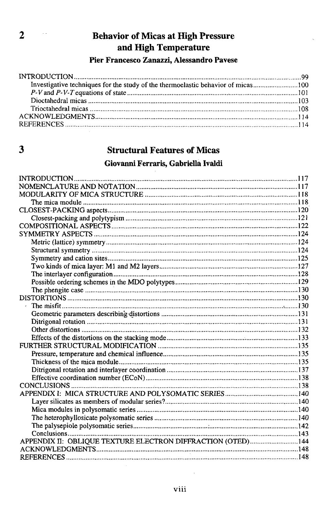# 2 Behavior of Micas at High Pressure and High Temperature

**Pier Francesco Zanazzi, Alessandro Pavese**

# 3 Structural Features of Micas

#### **Giovanni Ferraris, Gabriella Ivaldi**

| CONCLUSIONS                                                 |  |
|-------------------------------------------------------------|--|
|                                                             |  |
|                                                             |  |
|                                                             |  |
|                                                             |  |
|                                                             |  |
|                                                             |  |
| APPENDIX II: OBLIQUE TEXTURE ELECTRON DIFFRACTION (OTED)144 |  |
|                                                             |  |
|                                                             |  |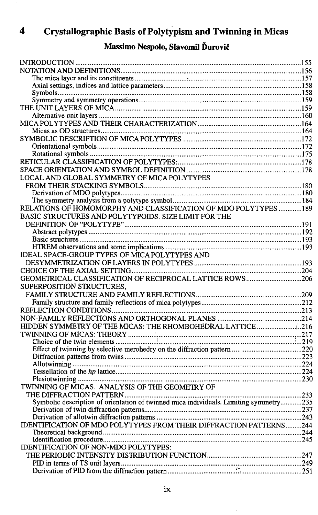# **4 Crystallographic Basis of Polytypism and Twinning in Micas**

# **Massimo Nespolo, Slavomil Durovic**

| LOCAL AND GLOBAL SYMMETRY OF MICA POLYTYPES                                           |  |
|---------------------------------------------------------------------------------------|--|
|                                                                                       |  |
|                                                                                       |  |
|                                                                                       |  |
| RELATIONS OF HOMOMORPHY AND CLASSIFICATION OF MDO POLYTYPES 189                       |  |
| BASIC STRUCTURES AND POLYTYPOIDS. SIZE LIMIT FOR THE                                  |  |
|                                                                                       |  |
|                                                                                       |  |
|                                                                                       |  |
|                                                                                       |  |
| IDEAL SPACE-GROUP TYPES OF MICA POLYTYPES AND                                         |  |
|                                                                                       |  |
|                                                                                       |  |
| GEOMETRICAL CLASSIFICATION OF RECIPROCAL LATTICE ROWS206                              |  |
| SUPERPOSITION STRUCTURES,                                                             |  |
|                                                                                       |  |
|                                                                                       |  |
|                                                                                       |  |
|                                                                                       |  |
| HIDDEN SYMMETRY OF THE MICAS: THE RHOMBOHEDRAL LATTICE 216                            |  |
|                                                                                       |  |
|                                                                                       |  |
|                                                                                       |  |
|                                                                                       |  |
|                                                                                       |  |
|                                                                                       |  |
|                                                                                       |  |
| TWINNING OF MICAS. ANALYSIS OF THE GEOMETRY OF                                        |  |
|                                                                                       |  |
| Symbolic description of orientation of twinned mica individuals. Limiting symmetry235 |  |
|                                                                                       |  |
|                                                                                       |  |
| IDENTIFICATION OF MDO POLYTYPES FROM THEIR DIFFRACTION PATTERNS244                    |  |
|                                                                                       |  |
|                                                                                       |  |
| IDENTIFICATION OF NON-MDO POLYTYPES:                                                  |  |
|                                                                                       |  |
|                                                                                       |  |
|                                                                                       |  |

 $\bar{\bar{\bar{z}}}$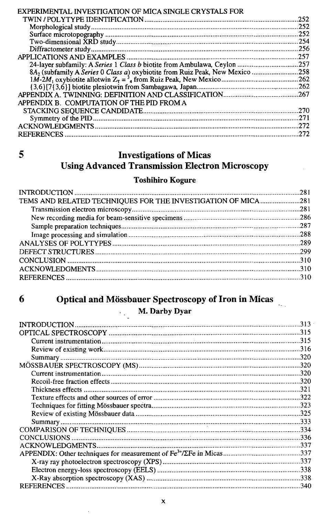| EXPERIMENTAL INVESTIGATION OF MICA SINGLE CRYSTALS FOR |       |
|--------------------------------------------------------|-------|
|                                                        | 252   |
|                                                        | .252  |
|                                                        | .252  |
|                                                        |       |
|                                                        | . 256 |
|                                                        | -257  |
|                                                        |       |
|                                                        |       |
|                                                        |       |
|                                                        |       |
|                                                        |       |
| APPENDIX B. COMPUTATION OF THE PID FROM A              |       |
|                                                        |       |
|                                                        | 271   |
|                                                        |       |
|                                                        | 272   |
|                                                        |       |

# 5 Investigations of Micas Using Advanced Transmission Electron Microscopy

#### Toshihiro Kogure

| TEMS AND RELATED TECHNIQUES FOR THE INVESTIGATION OF MICA281 |  |
|--------------------------------------------------------------|--|
|                                                              |  |
|                                                              |  |
|                                                              |  |
|                                                              |  |
|                                                              |  |
|                                                              |  |
|                                                              |  |
|                                                              |  |
|                                                              |  |
|                                                              |  |

#### 6 Optical and Mossbauer Spectroscopy of Iron in Micas  $\frac{1}{2}$

 $\mathbb{R}^{\mathbb{Z}^2}$ 

#### **M. Darby Dyar**

|                   | 313  |
|-------------------|------|
|                   |      |
|                   |      |
|                   |      |
|                   | 320  |
|                   |      |
|                   |      |
|                   |      |
|                   | 321  |
|                   |      |
|                   |      |
|                   |      |
|                   |      |
|                   |      |
|                   | .336 |
|                   |      |
|                   |      |
|                   |      |
|                   |      |
|                   |      |
| <b>REFERENCES</b> |      |
|                   |      |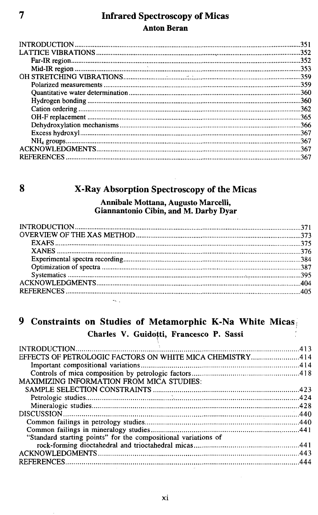#### 7 Infrared Spectroscopy of Micas Anton Beran

| 351  |
|------|
|      |
| .352 |
|      |
|      |
| .359 |
|      |
| .360 |
| 362  |
|      |
|      |
| .367 |
|      |
| 367  |
|      |
|      |

# 8 X-Ray Absorption Spectroscopy of the Micas

#### Annibale Mottana, Augusto Marcelli, Giannantonio Cibin, and M. Darby Dyar

## 9 Constraints on Studies of Metamorphic K-Na White Micas **Charles V. Guidotti, Francesco P. Sassi**

| EFFECTS OF PETROLOGIC FACTORS ON WHITE MICA CHEMISTRY414       |  |
|----------------------------------------------------------------|--|
|                                                                |  |
|                                                                |  |
| <b>MAXIMIZING INFORMATION FROM MICA STUDIES:</b>               |  |
|                                                                |  |
|                                                                |  |
|                                                                |  |
|                                                                |  |
|                                                                |  |
|                                                                |  |
| "Standard starting points" for the compositional variations of |  |
|                                                                |  |
|                                                                |  |
|                                                                |  |
|                                                                |  |